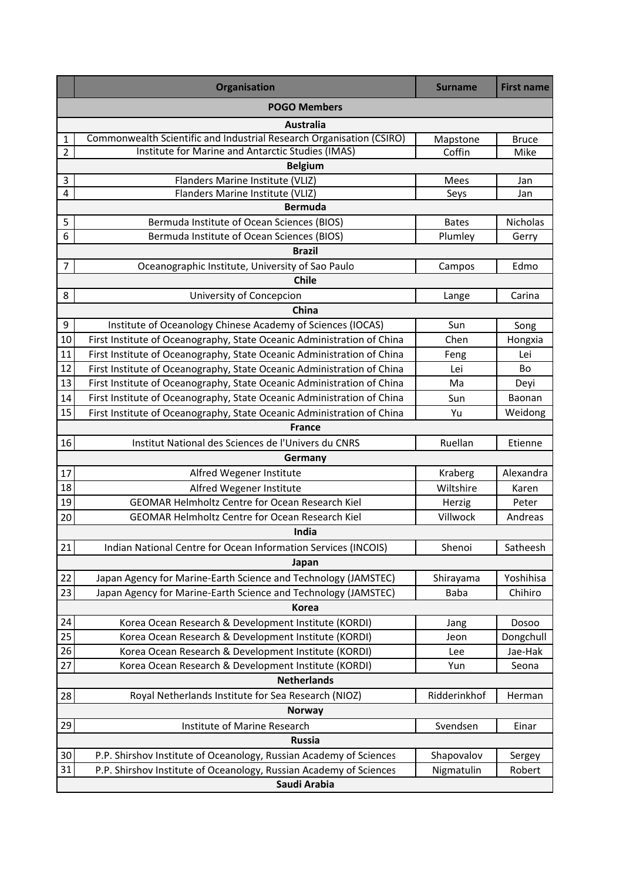|                  | Organisation                                                           | <b>Surname</b> | <b>First name</b> |  |  |
|------------------|------------------------------------------------------------------------|----------------|-------------------|--|--|
|                  | <b>POGO Members</b>                                                    |                |                   |  |  |
| <b>Australia</b> |                                                                        |                |                   |  |  |
| 1                | Commonwealth Scientific and Industrial Research Organisation (CSIRO)   | Mapstone       | <b>Bruce</b>      |  |  |
| $\overline{2}$   | Institute for Marine and Antarctic Studies (IMAS)                      | Coffin         | Mike              |  |  |
|                  | <b>Belgium</b>                                                         |                |                   |  |  |
| 3                | Flanders Marine Institute (VLIZ)                                       | Mees           | Jan               |  |  |
| 4                | Flanders Marine Institute (VLIZ)<br><b>Bermuda</b>                     | Seys           | Jan               |  |  |
|                  |                                                                        |                |                   |  |  |
| 5                | Bermuda Institute of Ocean Sciences (BIOS)                             | <b>Bates</b>   | Nicholas          |  |  |
| 6                | Bermuda Institute of Ocean Sciences (BIOS)                             | Plumley        | Gerry             |  |  |
|                  | <b>Brazil</b>                                                          |                |                   |  |  |
| 7                | Oceanographic Institute, University of Sao Paulo                       | Campos         | Edmo              |  |  |
|                  | <b>Chile</b>                                                           |                |                   |  |  |
| 8                | University of Concepcion                                               | Lange          | Carina            |  |  |
|                  | China                                                                  |                |                   |  |  |
| 9                | Institute of Oceanology Chinese Academy of Sciences (IOCAS)            | Sun            | Song              |  |  |
| 10               | First Institute of Oceanography, State Oceanic Administration of China | Chen           | Hongxia           |  |  |
| 11               | First Institute of Oceanography, State Oceanic Administration of China | Feng           | Lei               |  |  |
| 12               | First Institute of Oceanography, State Oceanic Administration of China | Lei            | Bo                |  |  |
| 13               | First Institute of Oceanography, State Oceanic Administration of China | Ma             | Deyi              |  |  |
| 14               | First Institute of Oceanography, State Oceanic Administration of China | Sun            | Baonan            |  |  |
| 15               | First Institute of Oceanography, State Oceanic Administration of China | Yu             | Weidong           |  |  |
|                  | <b>France</b>                                                          |                |                   |  |  |
| 16               | Institut National des Sciences de l'Univers du CNRS                    | Ruellan        | Etienne           |  |  |
|                  | Germany                                                                |                |                   |  |  |
| 17               | Alfred Wegener Institute                                               | Kraberg        | Alexandra         |  |  |
| 18               | Alfred Wegener Institute                                               | Wiltshire      | Karen             |  |  |
| 19               | <b>GEOMAR Helmholtz Centre for Ocean Research Kiel</b>                 | Herzig         | Peter             |  |  |
| 20               | GEOMAR Helmholtz Centre for Ocean Research Kiel                        | Villwock       | Andreas           |  |  |
|                  | India                                                                  |                |                   |  |  |
| 21               | Indian National Centre for Ocean Information Services (INCOIS)         | Shenoi         | Satheesh          |  |  |
|                  | Japan                                                                  |                |                   |  |  |
| 22               | Japan Agency for Marine-Earth Science and Technology (JAMSTEC)         | Shirayama      | Yoshihisa         |  |  |
| 23               | Japan Agency for Marine-Earth Science and Technology (JAMSTEC)         | <b>Baba</b>    | Chihiro           |  |  |
|                  | <b>Korea</b>                                                           |                |                   |  |  |
| 24               | Korea Ocean Research & Development Institute (KORDI)                   | Jang           | Dosoo             |  |  |
| 25               | Korea Ocean Research & Development Institute (KORDI)                   | Jeon           | Dongchull         |  |  |
| 26               | Korea Ocean Research & Development Institute (KORDI)                   | Lee            | Jae-Hak           |  |  |
| 27               | Korea Ocean Research & Development Institute (KORDI)                   | Yun            | Seona             |  |  |
|                  | <b>Netherlands</b>                                                     |                |                   |  |  |
| 28               | Royal Netherlands Institute for Sea Research (NIOZ)                    | Ridderinkhof   | Herman            |  |  |
|                  | <b>Norway</b>                                                          |                |                   |  |  |
| 29               | Institute of Marine Research                                           | Svendsen       | Einar             |  |  |
|                  | <b>Russia</b>                                                          |                |                   |  |  |
| 30               | P.P. Shirshov Institute of Oceanology, Russian Academy of Sciences     | Shapovalov     | Sergey            |  |  |
| 31               | P.P. Shirshov Institute of Oceanology, Russian Academy of Sciences     | Nigmatulin     | Robert            |  |  |
|                  | Saudi Arabia                                                           |                |                   |  |  |